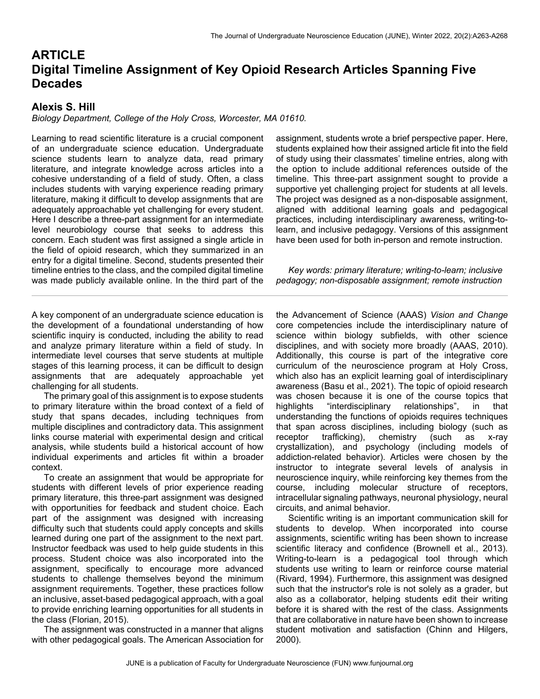# **ARTICLE Digital Timeline Assignment of Key Opioid Research Articles Spanning Five Decades**

## **Alexis S. Hill**

#### *Biology Department, College of the Holy Cross, Worcester, MA 01610.*

Learning to read scientific literature is a crucial component of an undergraduate science education. Undergraduate science students learn to analyze data, read primary literature, and integrate knowledge across articles into a cohesive understanding of a field of study. Often, a class includes students with varying experience reading primary literature, making it difficult to develop assignments that are adequately approachable yet challenging for every student. Here I describe a three-part assignment for an intermediate level neurobiology course that seeks to address this concern. Each student was first assigned a single article in the field of opioid research, which they summarized in an entry for a digital timeline. Second, students presented their timeline entries to the class, and the compiled digital timeline was made publicly available online. In the third part of the

A key component of an undergraduate science education is the development of a foundational understanding of how scientific inquiry is conducted, including the ability to read and analyze primary literature within a field of study. In intermediate level courses that serve students at multiple stages of this learning process, it can be difficult to design assignments that are adequately approachable yet challenging for all students.

 The primary goal of this assignment is to expose students to primary literature within the broad context of a field of study that spans decades, including techniques from multiple disciplines and contradictory data. This assignment links course material with experimental design and critical analysis, while students build a historical account of how individual experiments and articles fit within a broader context.

 To create an assignment that would be appropriate for students with different levels of prior experience reading primary literature, this three-part assignment was designed with opportunities for feedback and student choice. Each part of the assignment was designed with increasing difficulty such that students could apply concepts and skills learned during one part of the assignment to the next part. Instructor feedback was used to help guide students in this process. Student choice was also incorporated into the assignment, specifically to encourage more advanced students to challenge themselves beyond the minimum assignment requirements. Together, these practices follow an inclusive, asset-based pedagogical approach, with a goal to provide enriching learning opportunities for all students in the class (Florian, 2015).

 The assignment was constructed in a manner that aligns with other pedagogical goals. The American Association for assignment, students wrote a brief perspective paper. Here, students explained how their assigned article fit into the field of study using their classmates' timeline entries, along with the option to include additional references outside of the timeline. This three-part assignment sought to provide a supportive yet challenging project for students at all levels. The project was designed as a non-disposable assignment, aligned with additional learning goals and pedagogical practices, including interdisciplinary awareness, writing-tolearn, and inclusive pedagogy. Versions of this assignment have been used for both in-person and remote instruction.

 *Key words: primary literature; writing-to-learn; inclusive pedagogy; non-disposable assignment; remote instruction*

the Advancement of Science (AAAS) *Vision and Change* core competencies include the interdisciplinary nature of science within biology subfields, with other science disciplines, and with society more broadly (AAAS, 2010). Additionally, this course is part of the integrative core curriculum of the neuroscience program at Holy Cross, which also has an explicit learning goal of interdisciplinary awareness (Basu et al., 2021). The topic of opioid research was chosen because it is one of the course topics that highlights "interdisciplinary relationships", in that understanding the functions of opioids requires techniques that span across disciplines, including biology (such as receptor trafficking), chemistry (such as x-ray crystallization), and psychology (including models of addiction-related behavior). Articles were chosen by the instructor to integrate several levels of analysis in neuroscience inquiry, while reinforcing key themes from the course, including molecular structure of receptors, intracellular signaling pathways, neuronal physiology, neural circuits, and animal behavior.

 Scientific writing is an important communication skill for students to develop. When incorporated into course assignments, scientific writing has been shown to increase scientific literacy and confidence (Brownell et al., 2013). Writing-to-learn is a pedagogical tool through which students use writing to learn or reinforce course material (Rivard, 1994). Furthermore, this assignment was designed such that the instructor's role is not solely as a grader, but also as a collaborator, helping students edit their writing before it is shared with the rest of the class. Assignments that are collaborative in nature have been shown to increase student motivation and satisfaction (Chinn and Hilgers, 2000).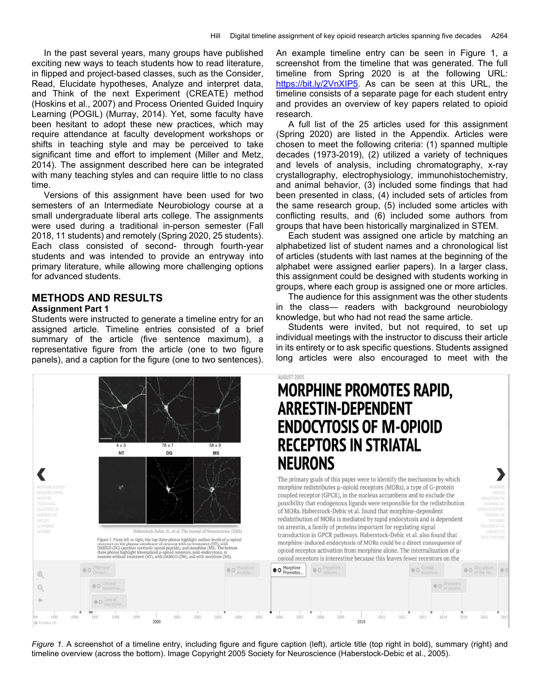In the past several years, many groups have published exciting new ways to teach students how to read literature, in flipped and project-based classes, such as the Consider, Read, Elucidate hypotheses, Analyze and interpret data, and Think of the next Experiment (CREATE) method (Hoskins et al., 2007) and Process Oriented Guided Inquiry Learning (POGIL) (Murray, 2014). Yet, some faculty have been hesitant to adopt these new practices, which may require attendance at faculty development workshops or shifts in teaching style and may be perceived to take significant time and effort to implement (Miller and Metz, 2014). The assignment described here can be integrated with many teaching styles and can require little to no class time.

 Versions of this assignment have been used for two semesters of an Intermediate Neurobiology course at a small undergraduate liberal arts college. The assignments were used during a traditional in-person semester (Fall 2018, 11 students) and remotely (Spring 2020, 25 students). Each class consisted of second- through fourth-year students and was intended to provide an entryway into primary literature, while allowing more challenging options for advanced students.

## **METHODS AND RESULTS**

#### **Assignment Part 1**

€

Students were instructed to generate a timeline entry for an assigned article. Timeline entries consisted of a brief summary of the article (five sentence maximum), a representative figure from the article (one to two figure panels), and a caption for the figure (one to two sentences).



An example timeline entry can be seen in Figure 1, a screenshot from the timeline that was generated. The full timeline from Spring 2020 is at the following URL: https://bit.ly/2VnXIP5. As can be seen at this URL, the timeline consists of a separate page for each student entry and provides an overview of key papers related to opioid research.

 A full list of the 25 articles used for this assignment (Spring 2020) are listed in the Appendix. Articles were chosen to meet the following criteria: (1) spanned multiple decades (1973-2019), (2) utilized a variety of techniques and levels of analysis, including chromatography, x-ray crystallography, electrophysiology, immunohistochemistry, and animal behavior, (3) included some findings that had been presented in class, (4) included sets of articles from the same research group, (5) included some articles with conflicting results, and (6) included some authors from groups that have been historically marginalized in STEM.

 Each student was assigned one article by matching an alphabetized list of student names and a chronological list of articles (students with last names at the beginning of the alphabet were assigned earlier papers). In a larger class, this assignment could be designed with students working in groups, where each group is assigned one or more articles.

 The audience for this assignment was the other students in the class— readers with background neurobiology knowledge, but who had not read the same article.

 Students were invited, but not required, to set up individual meetings with the instructor to discuss their article in its entirety or to ask specific questions. Students assigned long articles were also encouraged to meet with the

# **MORPHINE PROMOTES RAPID, ARRESTIN-DEPENDENT ENDOCYTOSIS OF M-OPIOID RECEPTORS IN STRIATAL NEURONS**

The primary goals of this paper were to identify the mechanism by which morphine redistributes µ-opioid receptors (MORs), a type of G-protein coupled receptor (GPCR), in the nucleus accumbens and to exclude the possibility that endogenous ligands were responsible for the redistribution of MORs. Haberstock-Debic et al. found that morphine-dependent redistribution of MORs is mediated by rapid endocytosis and is dependent on arrestin, a family of proteins important for regulating signal transduction in GPCR pathways. Haberstock-Debic et al. also found that morphine-induced endocytosis of MORs could be a direct consequence of opioid receptor activation from morphine alone. The internalization of uopioid receptors is interesting because this leaves fewer receptors on the



*Figure 1.* A screenshot of a timeline entry, including figure and figure caption (left), article title (top right in bold), summary (right) and timeline overview (across the bottom). Image Copyright 2005 Society for Neuroscience (Haberstock-Debic et al., 2005).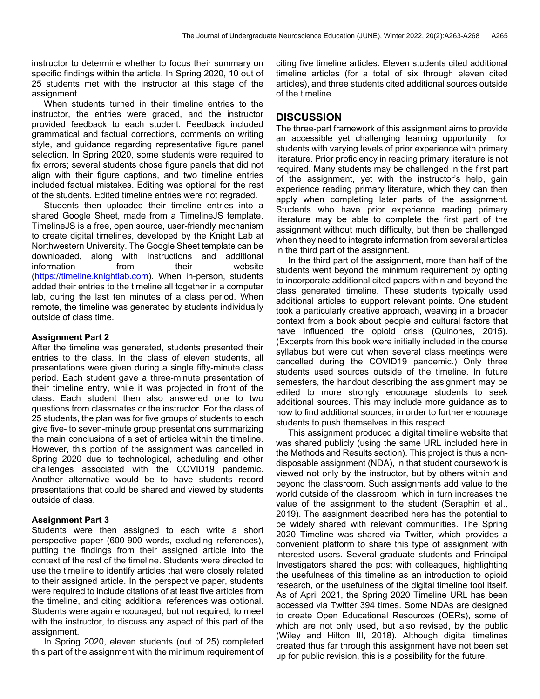instructor to determine whether to focus their summary on specific findings within the article. In Spring 2020, 10 out of 25 students met with the instructor at this stage of the assignment.

 When students turned in their timeline entries to the instructor, the entries were graded, and the instructor provided feedback to each student. Feedback included grammatical and factual corrections, comments on writing style, and guidance regarding representative figure panel selection. In Spring 2020, some students were required to fix errors; several students chose figure panels that did not align with their figure captions, and two timeline entries included factual mistakes. Editing was optional for the rest of the students. Edited timeline entries were not regraded.

 Students then uploaded their timeline entries into a shared Google Sheet, made from a TimelineJS template. TimelineJS is a free, open source, user-friendly mechanism to create digital timelines, developed by the Knight Lab at Northwestern University. The Google Sheet template can be downloaded, along with instructions and additional information from their website (https://timeline.knightlab.com). When in-person, students added their entries to the timeline all together in a computer lab, during the last ten minutes of a class period. When remote, the timeline was generated by students individually outside of class time.

#### **Assignment Part 2**

After the timeline was generated, students presented their entries to the class. In the class of eleven students, all presentations were given during a single fifty-minute class period. Each student gave a three-minute presentation of their timeline entry, while it was projected in front of the class. Each student then also answered one to two questions from classmates or the instructor. For the class of 25 students, the plan was for five groups of students to each give five- to seven-minute group presentations summarizing the main conclusions of a set of articles within the timeline. However, this portion of the assignment was cancelled in Spring 2020 due to technological, scheduling and other challenges associated with the COVID19 pandemic. Another alternative would be to have students record presentations that could be shared and viewed by students outside of class.

#### **Assignment Part 3**

Students were then assigned to each write a short perspective paper (600-900 words, excluding references), putting the findings from their assigned article into the context of the rest of the timeline. Students were directed to use the timeline to identify articles that were closely related to their assigned article. In the perspective paper, students were required to include citations of at least five articles from the timeline, and citing additional references was optional. Students were again encouraged, but not required, to meet with the instructor, to discuss any aspect of this part of the assignment.

 In Spring 2020, eleven students (out of 25) completed this part of the assignment with the minimum requirement of citing five timeline articles. Eleven students cited additional timeline articles (for a total of six through eleven cited articles), and three students cited additional sources outside of the timeline.

### **DISCUSSION**

The three-part framework of this assignment aims to provide an accessible yet challenging learning opportunity for students with varying levels of prior experience with primary literature. Prior proficiency in reading primary literature is not required. Many students may be challenged in the first part of the assignment, yet with the instructor's help, gain experience reading primary literature, which they can then apply when completing later parts of the assignment. Students who have prior experience reading primary literature may be able to complete the first part of the assignment without much difficulty, but then be challenged when they need to integrate information from several articles in the third part of the assignment.

 In the third part of the assignment, more than half of the students went beyond the minimum requirement by opting to incorporate additional cited papers within and beyond the class generated timeline. These students typically used additional articles to support relevant points. One student took a particularly creative approach, weaving in a broader context from a book about people and cultural factors that have influenced the opioid crisis (Quinones, 2015). (Excerpts from this book were initially included in the course syllabus but were cut when several class meetings were cancelled during the COVID19 pandemic.) Only three students used sources outside of the timeline. In future semesters, the handout describing the assignment may be edited to more strongly encourage students to seek additional sources. This may include more guidance as to how to find additional sources, in order to further encourage students to push themselves in this respect.

 This assignment produced a digital timeline website that was shared publicly (using the same URL included here in the Methods and Results section). This project is thus a nondisposable assignment (NDA), in that student coursework is viewed not only by the instructor, but by others within and beyond the classroom. Such assignments add value to the world outside of the classroom, which in turn increases the value of the assignment to the student (Seraphin et al., 2019). The assignment described here has the potential to be widely shared with relevant communities. The Spring 2020 Timeline was shared via Twitter, which provides a convenient platform to share this type of assignment with interested users. Several graduate students and Principal Investigators shared the post with colleagues, highlighting the usefulness of this timeline as an introduction to opioid research, or the usefulness of the digital timeline tool itself. As of April 2021, the Spring 2020 Timeline URL has been accessed via Twitter 394 times. Some NDAs are designed to create Open Educational Resources (OERs), some of which are not only used, but also revised, by the public (Wiley and Hilton III, 2018). Although digital timelines created thus far through this assignment have not been set up for public revision, this is a possibility for the future.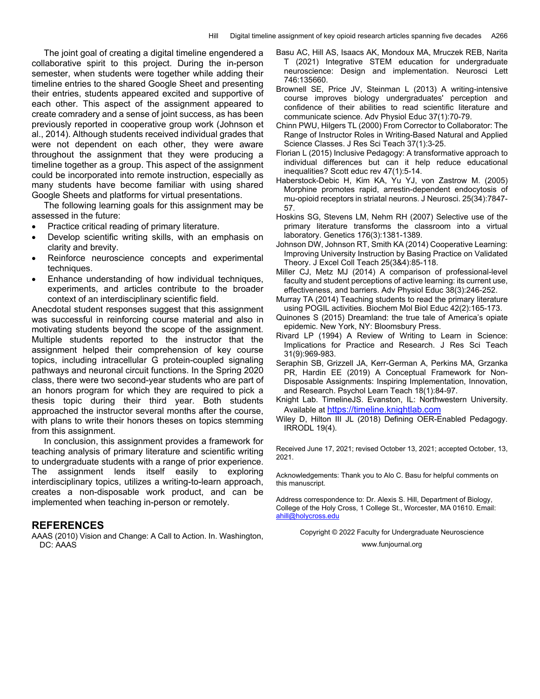The joint goal of creating a digital timeline engendered a collaborative spirit to this project. During the in-person semester, when students were together while adding their timeline entries to the shared Google Sheet and presenting their entries, students appeared excited and supportive of each other. This aspect of the assignment appeared to create comradery and a sense of joint success, as has been previously reported in cooperative group work (Johnson et al., 2014). Although students received individual grades that were not dependent on each other, they were aware throughout the assignment that they were producing a timeline together as a group. This aspect of the assignment could be incorporated into remote instruction, especially as many students have become familiar with using shared Google Sheets and platforms for virtual presentations.

 The following learning goals for this assignment may be assessed in the future:

- Practice critical reading of primary literature.
- Develop scientific writing skills, with an emphasis on clarity and brevity.
- Reinforce neuroscience concepts and experimental techniques.
- Enhance understanding of how individual techniques, experiments, and articles contribute to the broader context of an interdisciplinary scientific field.

Anecdotal student responses suggest that this assignment was successful in reinforcing course material and also in motivating students beyond the scope of the assignment. Multiple students reported to the instructor that the assignment helped their comprehension of key course topics, including intracellular G protein-coupled signaling pathways and neuronal circuit functions. In the Spring 2020 class, there were two second-year students who are part of an honors program for which they are required to pick a thesis topic during their third year. Both students approached the instructor several months after the course, with plans to write their honors theses on topics stemming from this assignment.

 In conclusion, this assignment provides a framework for teaching analysis of primary literature and scientific writing to undergraduate students with a range of prior experience. The assignment lends itself easily to exploring interdisciplinary topics, utilizes a writing-to-learn approach, creates a non-disposable work product, and can be implemented when teaching in-person or remotely.

#### **REFERENCES**

AAAS (2010) Vision and Change: A Call to Action. In. Washington, DC: AAAS

- Basu AC, Hill AS, Isaacs AK, Mondoux MA, Mruczek REB, Narita T (2021) Integrative STEM education for undergraduate neuroscience: Design and implementation. Neurosci Lett 746:135660.
- Brownell SE, Price JV, Steinman L (2013) A writing-intensive course improves biology undergraduates' perception and confidence of their abilities to read scientific literature and communicate science. Adv Physiol Educ 37(1):70-79.
- Chinn PWU, Hilgers TL (2000) From Corrector to Collaborator: The Range of Instructor Roles in Writing-Based Natural and Applied Science Classes. J Res Sci Teach 37(1):3-25.
- Florian L (2015) Inclusive Pedagogy: A transformative approach to individual differences but can it help reduce educational inequalities? Scott educ rev 47(1):5-14.
- Haberstock-Debic H, Kim KA, Yu YJ, von Zastrow M. (2005) Morphine promotes rapid, arrestin-dependent endocytosis of mu-opioid receptors in striatal neurons. J Neurosci. 25(34):7847- 57.
- Hoskins SG, Stevens LM, Nehm RH (2007) Selective use of the primary literature transforms the classroom into a virtual laboratory. Genetics 176(3):1381-1389.
- Johnson DW, Johnson RT, Smith KA (2014) Cooperative Learning: Improving University Instruction by Basing Practice on Validated Theory. J Excel Coll Teach 25(3&4):85-118.
- Miller CJ, Metz MJ (2014) A comparison of professional-level faculty and student perceptions of active learning: its current use, effectiveness, and barriers. Adv Physiol Educ 38(3):246-252.
- Murray TA (2014) Teaching students to read the primary literature using POGIL activities. Biochem Mol Biol Educ 42(2):165-173.
- Quinones S (2015) Dreamland: the true tale of America's opiate epidemic. New York, NY: Bloomsbury Press.
- Rivard LP (1994) A Review of Writing to Learn in Science: Implications for Practice and Research. J Res Sci Teach 31(9):969-983.
- Seraphin SB, Grizzell JA, Kerr-German A, Perkins MA, Grzanka PR, Hardin EE (2019) A Conceptual Framework for Non-Disposable Assignments: Inspiring Implementation, Innovation, and Research. Psychol Learn Teach 18(1):84-97.
- Knight Lab. TimelineJS. Evanston, IL: Northwestern University. Available at https://timeline.knightlab.com
- Wiley D, Hilton III JL (2018) Defining OER-Enabled Pedagogy. IRRODL 19(4).

Received June 17, 2021; revised October 13, 2021; accepted October, 13, 2021.

Acknowledgements: Thank you to Alo C. Basu for helpful comments on this manuscript.

Address correspondence to: Dr. Alexis S. Hill, Department of Biology, College of the Holy Cross, 1 College St., Worcester, MA 01610. Email: ahill@holycross.edu

> Copyright © 2022 Faculty for Undergraduate Neuroscience www.funjournal.org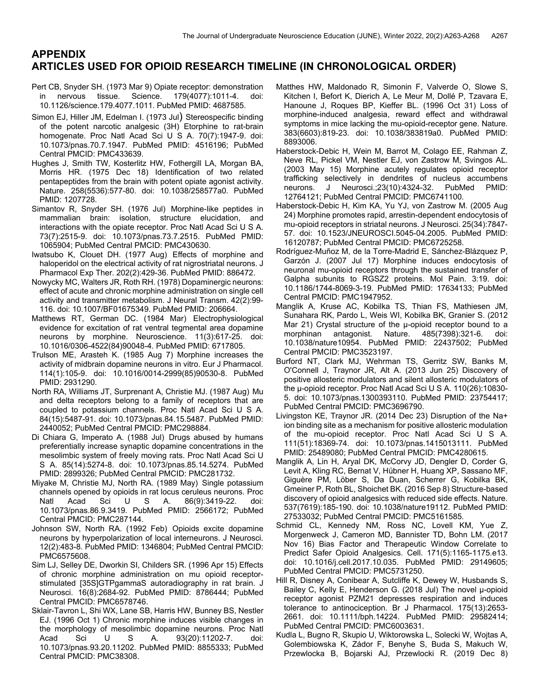## **APPENDIX ARTICLES USED FOR OPIOID RESEARCH TIMELINE (IN CHRONOLOGICAL ORDER)**

- Pert CB, Snyder SH. (1973 Mar 9) Opiate receptor: demonstration in nervous tissue. Science. 179(4077):1011-4. doi: 10.1126/science.179.4077.1011. PubMed PMID: 4687585.
- Simon EJ, Hiller JM, Edelman I. (1973 Jul) Stereospecific binding of the potent narcotic analgesic (3H) Etorphine to rat-brain homogenate. Proc Natl Acad Sci U S A. 70(7):1947-9. doi: 10.1073/pnas.70.7.1947. PubMed PMID: 4516196; PubMed Central PMCID: PMC433639.
- Hughes J, Smith TW, Kosterlitz HW, Fothergill LA, Morgan BA, Morris HR. (1975 Dec 18) Identification of two related pentapeptides from the brain with potent opiate agonist activity. Nature. 258(5536):577-80. doi: 10.1038/258577a0. PubMed PMID: 1207728.
- Simantov R, Snyder SH. (1976 Jul) Morphine-like peptides in mammalian brain: isolation, structure elucidation, and interactions with the opiate receptor. Proc Natl Acad Sci U S A. 73(7):2515-9. doi: 10.1073/pnas.73.7.2515. PubMed PMID: 1065904; PubMed Central PMCID: PMC430630.
- Iwatsubo K, Clouet DH. (1977 Aug) Effects of morphine and haloperidol on the electrical activity of rat nigrostriatal neurons. J Pharmacol Exp Ther. 202(2):429-36. PubMed PMID: 886472.
- Nowycky MC, Walters JR, Roth RH. (1978) Dopaminergic neurons: effect of acute and chronic morphine administration on single cell activity and transmitter metabolism. J Neural Transm. 42(2):99- 116. doi: 10.1007/BF01675349. PubMed PMID: 206664.
- Matthews RT, German DC. (1984 Mar) Electrophysiological evidence for excitation of rat ventral tegmental area dopamine neurons by morphine. Neuroscience. 11(3):617-25. doi: 10.1016/0306-4522(84)90048-4. PubMed PMID: 6717805.
- Trulson ME, Arasteh K. (1985 Aug 7) Morphine increases the activity of midbrain dopamine neurons in vitro. Eur J Pharmacol. 114(1):105-9. doi: 10.1016/0014-2999(85)90530-8. PubMed PMID: 2931290.
- North RA, Williams JT, Surprenant A, Christie MJ. (1987 Aug) Mu and delta receptors belong to a family of receptors that are coupled to potassium channels. Proc Natl Acad Sci U S A. 84(15):5487-91. doi: 10.1073/pnas.84.15.5487. PubMed PMID: 2440052; PubMed Central PMCID: PMC298884.
- Di Chiara G, Imperato A. (1988 Jul) Drugs abused by humans preferentially increase synaptic dopamine concentrations in the mesolimbic system of freely moving rats. Proc Natl Acad Sci U S A. 85(14):5274-8. doi: 10.1073/pnas.85.14.5274. PubMed PMID: 2899326; PubMed Central PMCID: PMC281732.
- Miyake M, Christie MJ, North RA. (1989 May) Single potassium channels opened by opioids in rat locus ceruleus neurons. Proc Natl Acad Sci U S A. 86(9):3419-22. doi: 10.1073/pnas.86.9.3419. PubMed PMID: 2566172; PubMed Central PMCID: PMC287144.
- Johnson SW, North RA. (1992 Feb) Opioids excite dopamine neurons by hyperpolarization of local interneurons. J Neurosci. 12(2):483-8. PubMed PMID: 1346804; PubMed Central PMCID: PMC6575608.
- Sim LJ, Selley DE, Dworkin SI, Childers SR. (1996 Apr 15) Effects of chronic morphine administration on mu opioid receptorstimulated [35S]GTPgammaS autoradiography in rat brain. J Neurosci. 16(8):2684-92. PubMed PMID: 8786444; PubMed Central PMCID: PMC6578746.
- Sklair-Tavron L, Shi WX, Lane SB, Harris HW, Bunney BS, Nestler EJ. (1996 Oct 1) Chronic morphine induces visible changes in the morphology of mesolimbic dopamine neurons. Proc Natl Acad Sci U S A. 93(20):11202-7. doi: 10.1073/pnas.93.20.11202. PubMed PMID: 8855333; PubMed Central PMCID: PMC38308.
- Matthes HW, Maldonado R, Simonin F, Valverde O, Slowe S, Kitchen I, Befort K, Dierich A, Le Meur M, Dollé P, Tzavara E, Hanoune J, Roques BP, Kieffer BL. (1996 Oct 31) Loss of morphine-induced analgesia, reward effect and withdrawal symptoms in mice lacking the mu-opioid-receptor gene. Nature. 383(6603):819-23. doi: 10.1038/383819a0. PubMed PMID: 8893006.
- Haberstock-Debic H, Wein M, Barrot M, Colago EE, Rahman Z, Neve RL, Pickel VM, Nestler EJ, von Zastrow M, Svingos AL. (2003 May 15) Morphine acutely regulates opioid receptor trafficking selectively in dendrites of nucleus accumbens neurons. J Neurosci.;23(10):4324-32. PubMed PMID: 12764121; PubMed Central PMCID: PMC6741100.
- Haberstock-Debic H, Kim KA, Yu YJ, von Zastrow M. (2005 Aug 24) Morphine promotes rapid, arrestin-dependent endocytosis of mu-opioid receptors in striatal neurons. J Neurosci. 25(34):7847- 57. doi: 10.1523/JNEUROSCI.5045-04.2005. PubMed PMID: 16120787; PubMed Central PMCID: PMC6725258.
- Rodríguez-Muñoz M, de la Torre-Madrid E, Sánchez-Blázquez P, Garzón J. (2007 Jul 17) Morphine induces endocytosis of neuronal mu-opioid receptors through the sustained transfer of Galpha subunits to RGSZ2 proteins. Mol Pain. 3:19. doi: 10.1186/1744-8069-3-19. PubMed PMID: 17634133; PubMed Central PMCID: PMC1947952.
- Manglik A, Kruse AC, Kobilka TS, Thian FS, Mathiesen JM, Sunahara RK, Pardo L, Weis WI, Kobilka BK, Granier S. (2012 Mar 21) Crystal structure of the µ-opioid receptor bound to a morphinan antagonist. Nature. 485(7398):321-6. doi: 10.1038/nature10954. PubMed PMID: 22437502; PubMed Central PMCID: PMC3523197.
- Burford NT, Clark MJ, Wehrman TS, Gerritz SW, Banks M, O'Connell J, Traynor JR, Alt A. (2013 Jun 25) Discovery of positive allosteric modulators and silent allosteric modulators of the μ-opioid receptor. Proc Natl Acad Sci U S A. 110(26):10830- 5. doi: 10.1073/pnas.1300393110. PubMed PMID: 23754417; PubMed Central PMCID: PMC3696790.
- Livingston KE, Traynor JR. (2014 Dec 23) Disruption of the Na+ ion binding site as a mechanism for positive allosteric modulation of the mu-opioid receptor. Proc Natl Acad Sci U S A. 111(51):18369-74. doi: 10.1073/pnas.1415013111. PubMed PMID: 25489080; PubMed Central PMCID: PMC4280615.
- Manglik A, Lin H, Aryal DK, McCorvy JD, Dengler D, Corder G, Levit A, Kling RC, Bernat V, Hübner H, Huang XP, Sassano MF, Giguère PM, Löber S, Da Duan, Scherrer G, Kobilka BK, Gmeiner P, Roth BL, Shoichet BK. (2016 Sep 8) Structure-based discovery of opioid analgesics with reduced side effects. Nature. 537(7619):185-190. doi: 10.1038/nature19112. PubMed PMID: 27533032; PubMed Central PMCID: PMC5161585.
- Schmid CL, Kennedy NM, Ross NC, Lovell KM, Yue Z, Morgenweck J, Cameron MD, Bannister TD, Bohn LM. (2017 Nov 16) Bias Factor and Therapeutic Window Correlate to Predict Safer Opioid Analgesics. Cell. 171(5):1165-1175.e13. doi: 10.1016/j.cell.2017.10.035. PubMed PMID: 29149605; PubMed Central PMCID: PMC5731250.
- Hill R, Disney A, Conibear A, Sutcliffe K, Dewey W, Husbands S, Bailey C, Kelly E, Henderson G. (2018 Jul) The novel μ-opioid receptor agonist PZM21 depresses respiration and induces tolerance to antinociception. Br J Pharmacol. 175(13):2653- 2661. doi: 10.1111/bph.14224. PubMed PMID: 29582414; PubMed Central PMCID: PMC6003631.
- Kudla L, Bugno R, Skupio U, Wiktorowska L, Solecki W, Wojtas A, Golembiowska K, Zádor F, Benyhe S, Buda S, Makuch W, Przewlocka B, Bojarski AJ, Przewlocki R. (2019 Dec 8)